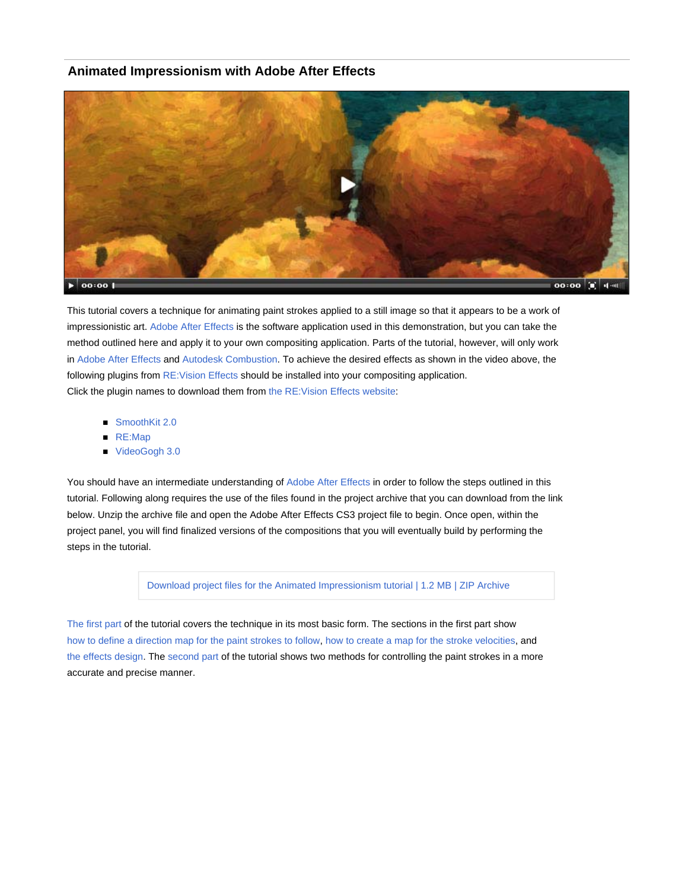#### **Animated Impressionism with Adobe After Effects**



This tutorial covers a technique for animating paint strokes applied to a still image so that it appears to be a work of impressionistic art. Adobe After Effects is the software application used in this demonstration, but you can take the method outlined here and apply it to your own compositing application. Parts of the tutorial, however, will only work in Adobe After Effects and Autodesk Combustion. To achieve the desired effects as shown in the video above, the following plugins from RE: Vision Effects should be installed into your compositing application. Click the plugin names to download them from the RE:Vision Effects website:

- SmoothKit 2.0
- RE:Map
- VideoGogh 3.0

You should have an intermediate understanding of Adobe After Effects in order to follow the steps outlined in this tutorial. Following along requires the use of the files found in the project archive that you can download from the link below. Unzip the archive file and open the Adobe After Effects CS3 project file to begin. Once open, within the project panel, you will find finalized versions of the compositions that you will eventually build by performing the steps in the tutorial.

Download project files for the Animated Impressionism tutorial | 1.2 MB | ZIP Archive

The first part of the tutorial covers the technique in its most basic form. The sections in the first part show how to define a direction map for the paint strokes to follow, how to create a map for the stroke velocities, and the effects design. The second part of the tutorial shows two methods for controlling the paint strokes in a more accurate and precise manner.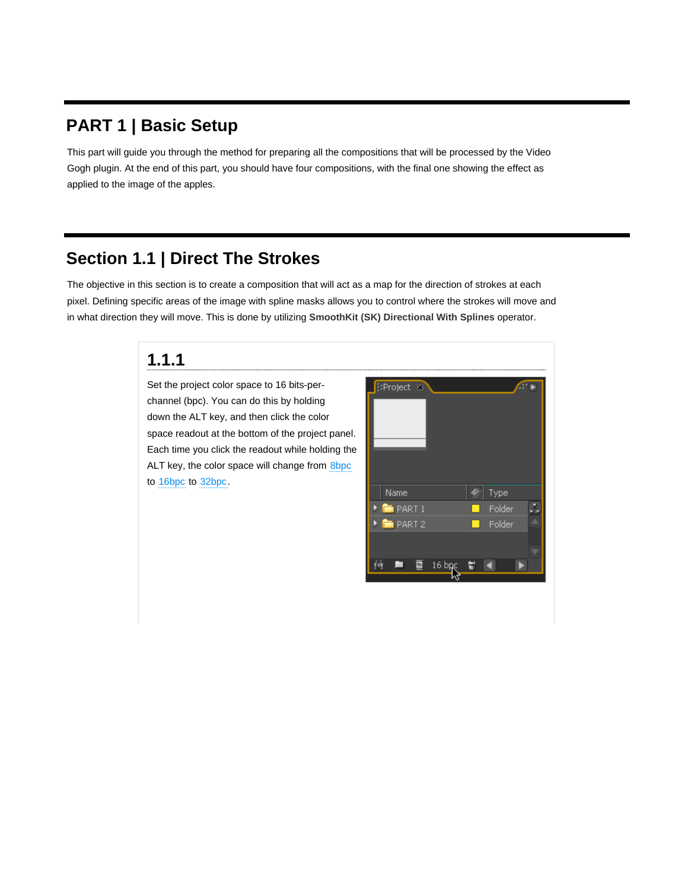### **PART 1 | Basic Setup**

This part will guide you through the method for preparing all the compositions that will be processed by the Video Gogh plugin. At the end of this part, you should have four compositions, with the final one showing the effect as applied to the image of the apples.

### **Section 1.1 | Direct The Strokes**

The objective in this section is to create a composition that will act as a map for the direction of strokes at each pixel. Defining specific areas of the image with spline masks allows you to control where the strokes will move and in what direction they will move. This is done by utilizing **SmoothKit (SK) Directional With Splines** operator.

#### **1.1.1**

Set the project color space to 16 bits-perchannel (bpc). You can do this by holding down the ALT key, and then click the color space readout at the bottom of the project panel. Each time you click the readout while holding the ALT key, the color space will change from 8bpc to 16bpc to 32bpc.

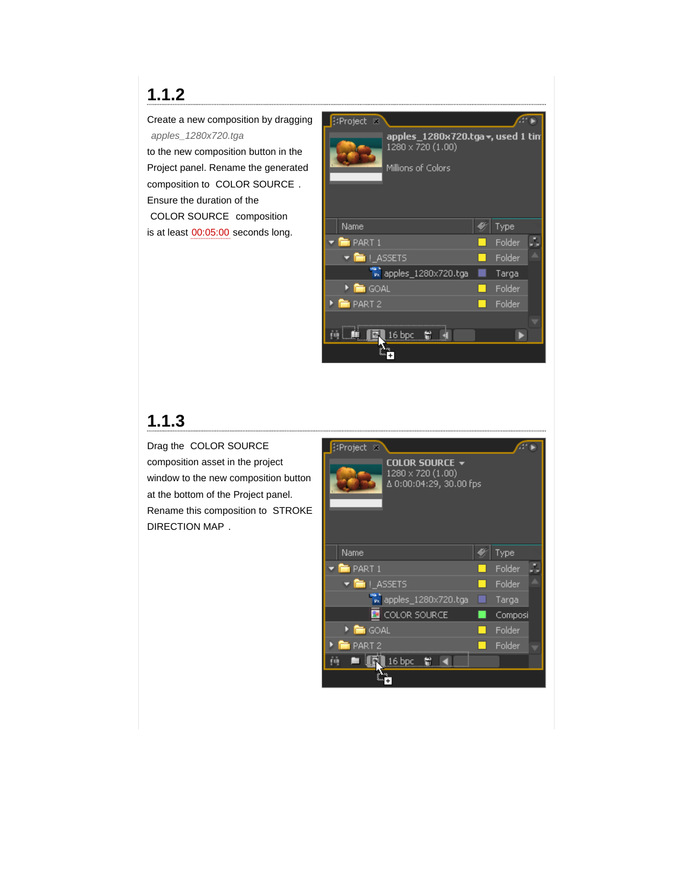Create a new composition by dragging *apples\_1280x720.tga*

to the new composition button in the Project panel. Rename the generated composition to COLOR SOURCE . Ensure the duration of the COLOR SOURCE composition is at least 00:05:00 seconds long.



## **1.1.3**

Drag the COLOR SOURCE composition asset in the project window to the new composition button at the bottom of the Project panel. Rename this composition to STROKE DIRECTION MAP .

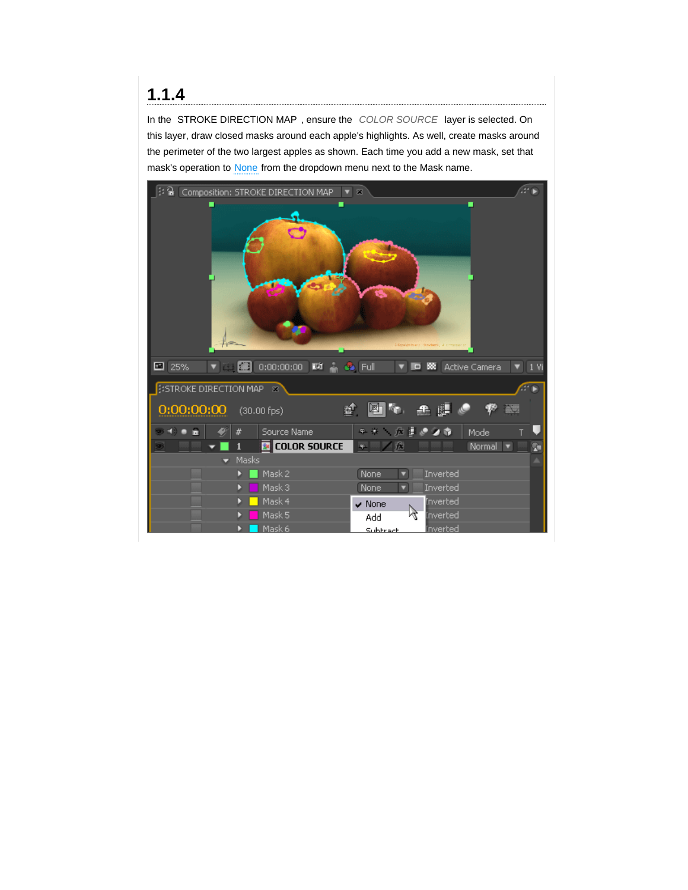In the STROKE DIRECTION MAP , ensure the *COLOR SOURCE* layer is selected. On this layer, draw closed masks around each apple's highlights. As well, create masks around the perimeter of the two largest apples as shown. Each time you add a new mask, set that mask's operation to None from the dropdown menu next to the Mask name.

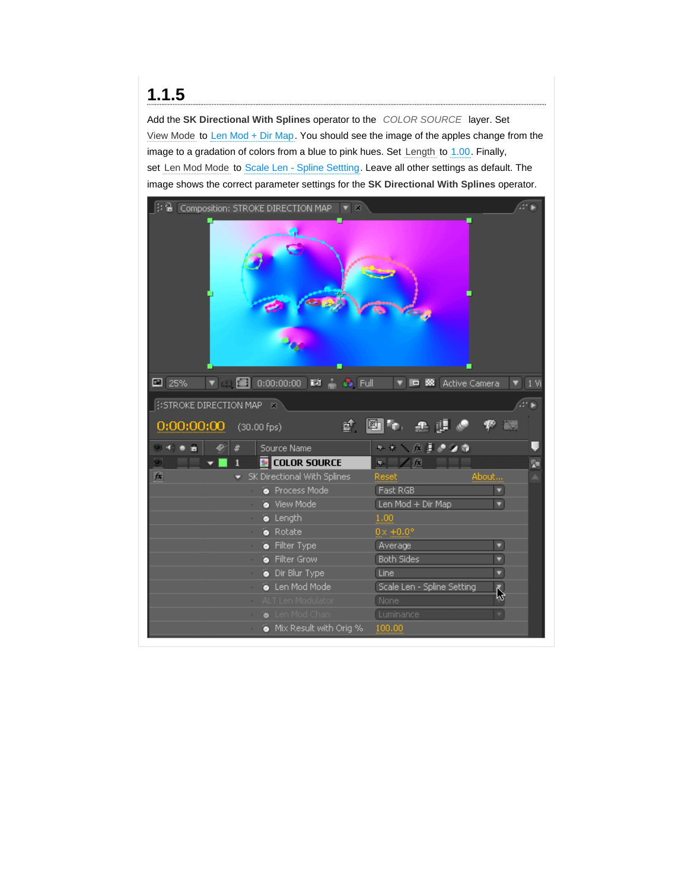Add the **SK Directional With Splines** operator to the *COLOR SOURCE* layer. Set View Mode to Len Mod + Dir Map. You should see the image of the apples change from the image to a gradation of colors from a blue to pink hues. Set Length to 1.00. Finally, set Len Mod Mode to Scale Len - Spline Settting. Leave all other settings as default. The image shows the correct parameter settings for the **SK Directional With Splines** operator.

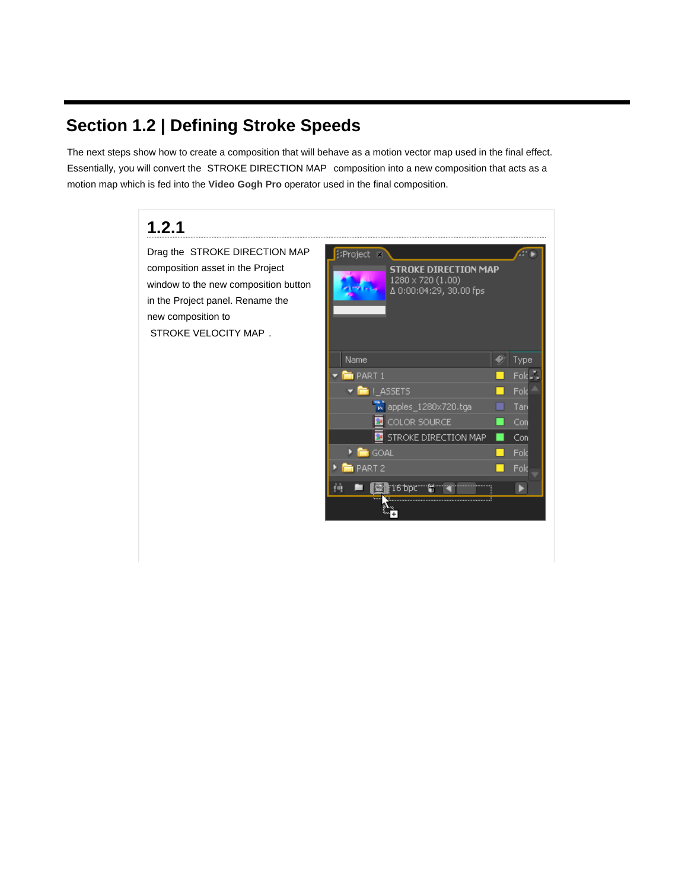## **Section 1.2 | Defining Stroke Speeds**

The next steps show how to create a composition that will behave as a motion vector map used in the final effect. Essentially, you will convert the STROKE DIRECTION MAP composition into a new composition that acts as a motion map which is fed into the **Video Gogh Pro** operator used in the final composition.

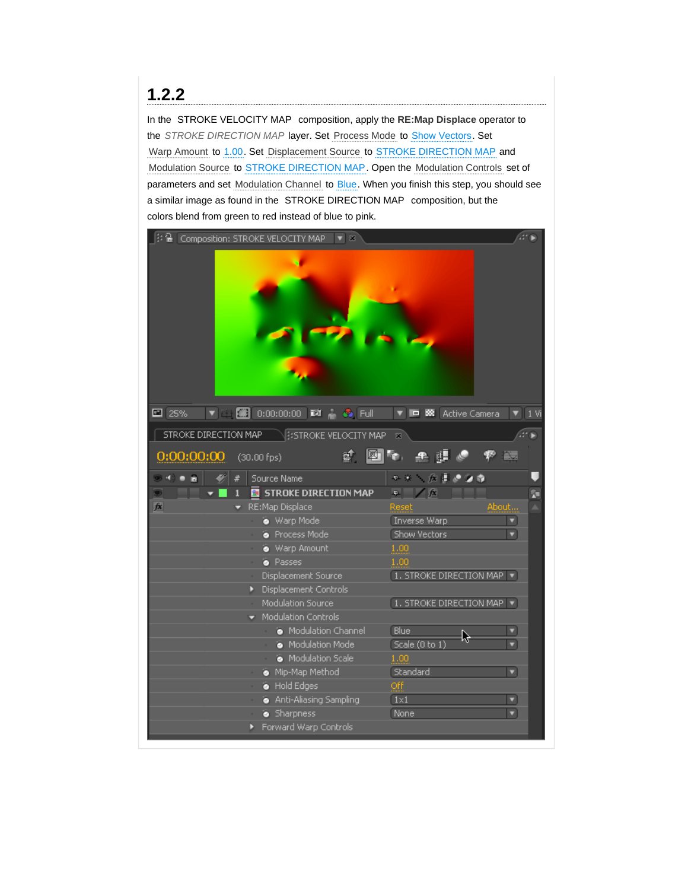### **1.2.2**

In the STROKE VELOCITY MAP composition, apply the **RE:Map Displace** operator to the *STROKE DIRECTION MAP* layer. Set Process Mode to Show Vectors. Set Warp Amount to 1.00. Set Displacement Source to STROKE DIRECTION MAP and Modulation Source to STROKE DIRECTION MAP. Open the Modulation Controls set of parameters and set Modulation Channel to Blue. When you finish this step, you should see a similar image as found in the STROKE DIRECTION MAP composition, but the colors blend from green to red instead of blue to pink.

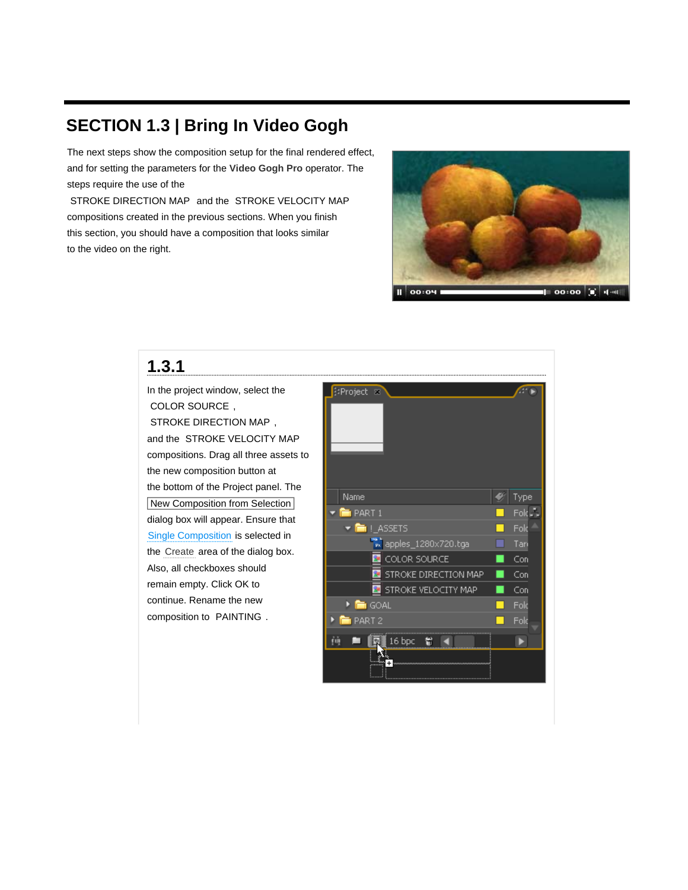## **SECTION 1.3 | Bring In Video Gogh**

The next steps show the composition setup for the final rendered effect, and for setting the parameters for the **Video Gogh Pro** operator. The steps require the use of the

STROKE DIRECTION MAP and the STROKE VELOCITY MAP compositions created in the previous sections. When you finish this section, you should have a composition that looks similar to the video on the right.



#### **1.3.1**

In the project window, select the COLOR SOURCE , STROKE DIRECTION MAP , and the STROKE VELOCITY MAP compositions. Drag all three assets to the new composition button at the bottom of the Project panel. The New Composition from Selection dialog box will appear. Ensure that Single Composition is selected in the Create area of the dialog box. Also, all checkboxes should remain empty. Click OK to continue. Rename the new composition to PAINTING .

| <b>EProject</b> &           |                   |
|-----------------------------|-------------------|
| Name                        | Type              |
| $\blacksquare$ PART 1       | Fold <sub>e</sub> |
| ▼ IL ASSETS                 | Fold              |
| wapples_1280x720.tga        | Tari              |
| COLOR SOURCE                | Con               |
| <b>STROKE DIRECTION MAP</b> | Con               |
| STROKE VELOCITY MAP         | Con               |
| ▶ Em GOAL                   | Fold              |
| <b>FI</b> PART 2            | Fold              |
| 16 bpc<br>۳<br>ŗŵ           |                   |
|                             |                   |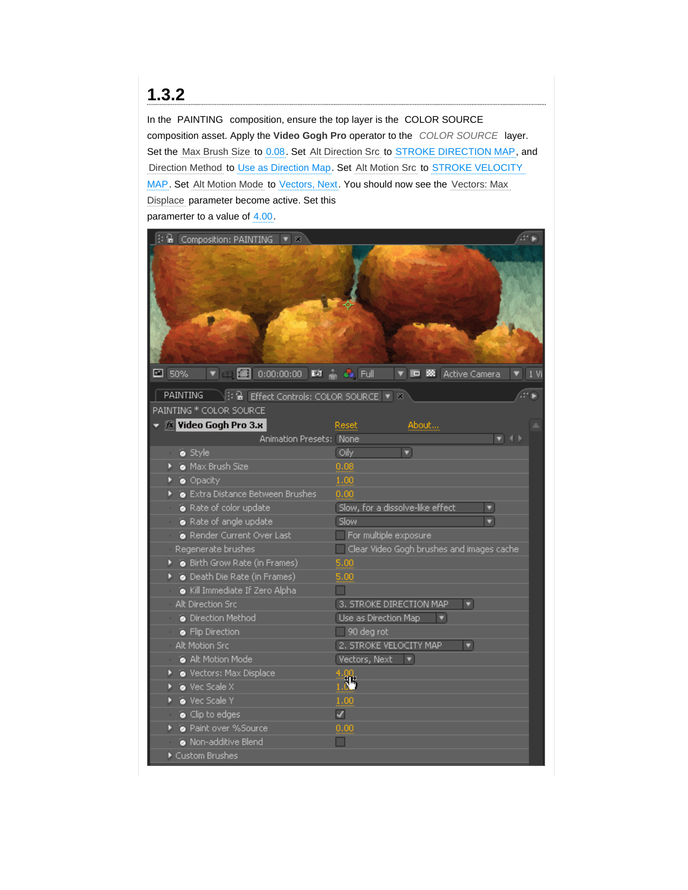## **1.3.2**

In the PAINTING composition, ensure the top layer is the COLOR SOURCE composition asset. Apply the **Video Gogh Pro** operator to the *COLOR SOURCE* layer. Set the Max Brush Size to 0.08. Set Alt Direction Src to STROKE DIRECTION MAP, and Direction Method to Use as Direction Map. Set Alt Motion Src to STROKE VELOCITY MAP. Set Alt Motion Mode to Vectors, Next. You should now see the Vectors: Max Displace parameter become active. Set this paramerter to a value of 4.00.

|                                                                                         |  |  | 3 <del>a</del> Composition: PAINTING ▼ ※                                                         |                          |                                           |      |  |  |
|-----------------------------------------------------------------------------------------|--|--|--------------------------------------------------------------------------------------------------|--------------------------|-------------------------------------------|------|--|--|
| $\Box$ 50%                                                                              |  |  | $\blacktriangledown$ $\cong$ $\blacksquare$ 0:00:00:00 $\blacksquare$ $\clubsuit$ $\blacksquare$ |                          | <b>V ID 58</b> Active Camera              | 1 Vi |  |  |
| → 12 Bi Effect Controls: COLOR SOURCE ▼ ※<br><b>PAINTING</b><br>PAINTING * COLOR SOURCE |  |  |                                                                                                  |                          |                                           |      |  |  |
|                                                                                         |  |  | $\sqrt{k}$ Video Gogh Pro 3.х                                                                    | Reset                    | About                                     |      |  |  |
|                                                                                         |  |  | Animation Presets: None                                                                          |                          | $\blacktriangledown$ 41                   |      |  |  |
|                                                                                         |  |  | · Style                                                                                          | Oily                     | ▼                                         |      |  |  |
|                                                                                         |  |  | Max Brush Size                                                                                   | 0.08                     |                                           |      |  |  |
|                                                                                         |  |  | · Opacity                                                                                        | 1.00                     |                                           |      |  |  |
|                                                                                         |  |  | Extra Distance Between Brushes                                                                   | 0.00                     |                                           |      |  |  |
|                                                                                         |  |  | Rate of color update                                                                             |                          | Slow, for a dissolve-like effect<br>۰     |      |  |  |
|                                                                                         |  |  | Rate of angle update                                                                             | Slow                     |                                           |      |  |  |
|                                                                                         |  |  | Render Current Over Last                                                                         |                          | For multiple exposure                     |      |  |  |
|                                                                                         |  |  | Regenerate brushes                                                                               |                          | Clear Video Gogh brushes and images cache |      |  |  |
|                                                                                         |  |  | Birth Grow Rate (in Frames)                                                                      | 5.00                     |                                           |      |  |  |
|                                                                                         |  |  | ▶ · Death Die Rate (in Frames)                                                                   | 5.00                     |                                           |      |  |  |
|                                                                                         |  |  | Kill Immediate If Zero Alpha                                                                     |                          |                                           |      |  |  |
|                                                                                         |  |  | Alt Direction Src                                                                                |                          | 3. STROKE DIRECTION MAP<br>۰              |      |  |  |
|                                                                                         |  |  | • Direction Method                                                                               | Use as Direction Map     | ▼                                         |      |  |  |
|                                                                                         |  |  | <b>•</b> Flip Direction                                                                          | 90 deg rot               |                                           |      |  |  |
|                                                                                         |  |  | Alt Motion Src                                                                                   |                          | 2. STROKE VELOCITY MAP<br>۰               |      |  |  |
|                                                                                         |  |  | Alt Motion Mode                                                                                  | Vectors, Next            |                                           |      |  |  |
|                                                                                         |  |  | Vectors: Max Displace                                                                            | 4.00                     |                                           |      |  |  |
|                                                                                         |  |  | Vec Scale X                                                                                      | 36                       |                                           |      |  |  |
|                                                                                         |  |  | Vec Scale Y                                                                                      | 1.00                     |                                           |      |  |  |
|                                                                                         |  |  | $\bullet$ Clip to edges                                                                          | $\overline{\mathcal{L}}$ |                                           |      |  |  |
|                                                                                         |  |  | • Paint over %Source                                                                             | 0.00                     |                                           |      |  |  |
|                                                                                         |  |  | Non-additive Blend                                                                               |                          |                                           |      |  |  |
|                                                                                         |  |  | Custom Brushes                                                                                   |                          |                                           |      |  |  |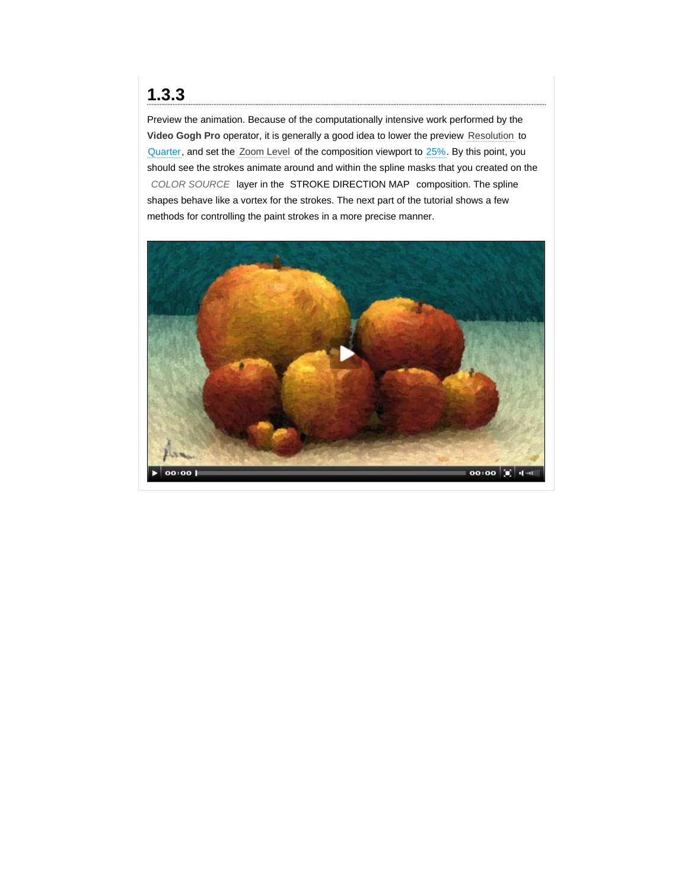#### **1.3.3**

Preview the animation. Because of the computationally intensive work performed by the **Video Gogh Pro** operator, it is generally a good idea to lower the preview Resolution to Quarter, and set the Zoom Level of the composition viewport to 25%. By this point, you should see the strokes animate around and within the spline masks that you created on the *COLOR SOURCE* layer in the STROKE DIRECTION MAP composition. The spline shapes behave like a vortex for the strokes. The next part of the tutorial shows a few methods for controlling the paint strokes in a more precise manner.

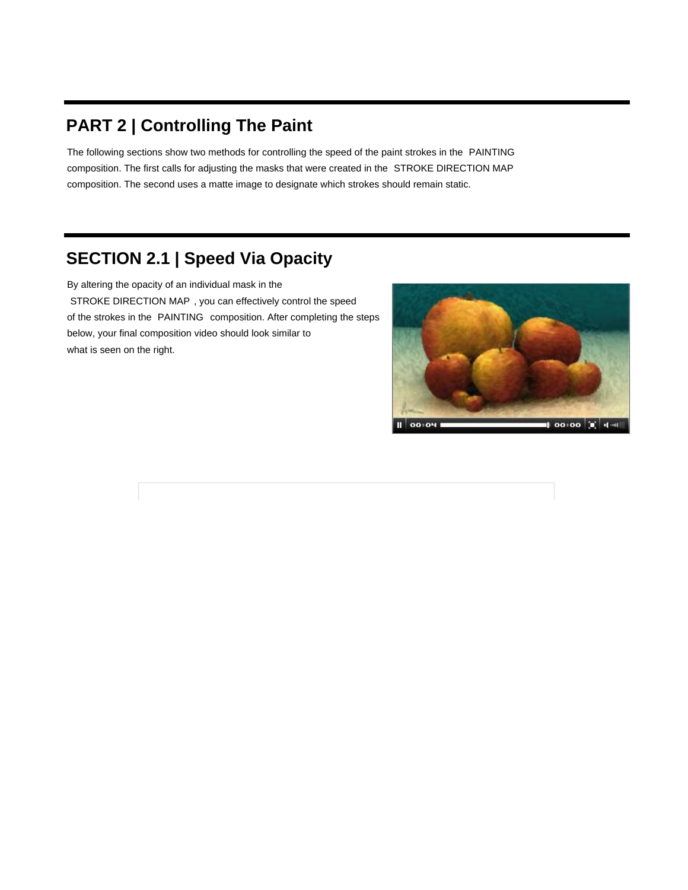## **PART 2 | Controlling The Paint**

The following sections show two methods for controlling the speed of the paint strokes in the PAINTING composition. The first calls for adjusting the masks that were created in the STROKE DIRECTION MAP composition. The second uses a matte image to designate which strokes should remain static.

## **SECTION 2.1 | Speed Via Opacity**

By altering the opacity of an individual mask in the STROKE DIRECTION MAP , you can effectively control the speed of the strokes in the PAINTING composition. After completing the steps below, your final composition video should look similar to what is seen on the right.

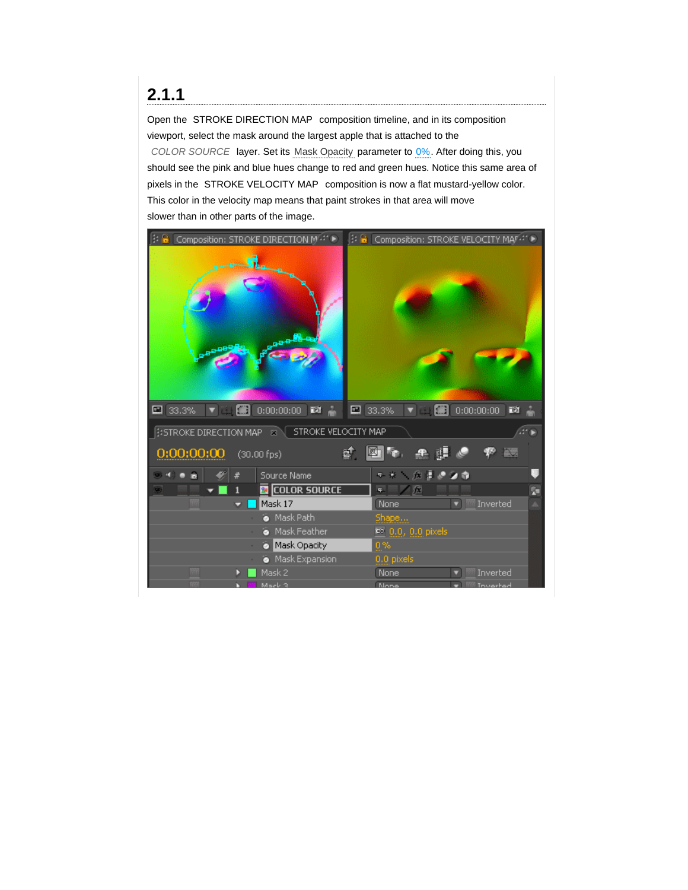Open the STROKE DIRECTION MAP composition timeline, and in its composition viewport, select the mask around the largest apple that is attached to the

*COLOR SOURCE* layer. Set its Mask Opacity parameter to 0%. After doing this, you should see the pink and blue hues change to red and green hues. Notice this same area of pixels in the STROKE VELOCITY MAP composition is now a flat mustard-yellow color. This color in the velocity map means that paint strokes in that area will move slower than in other parts of the image.

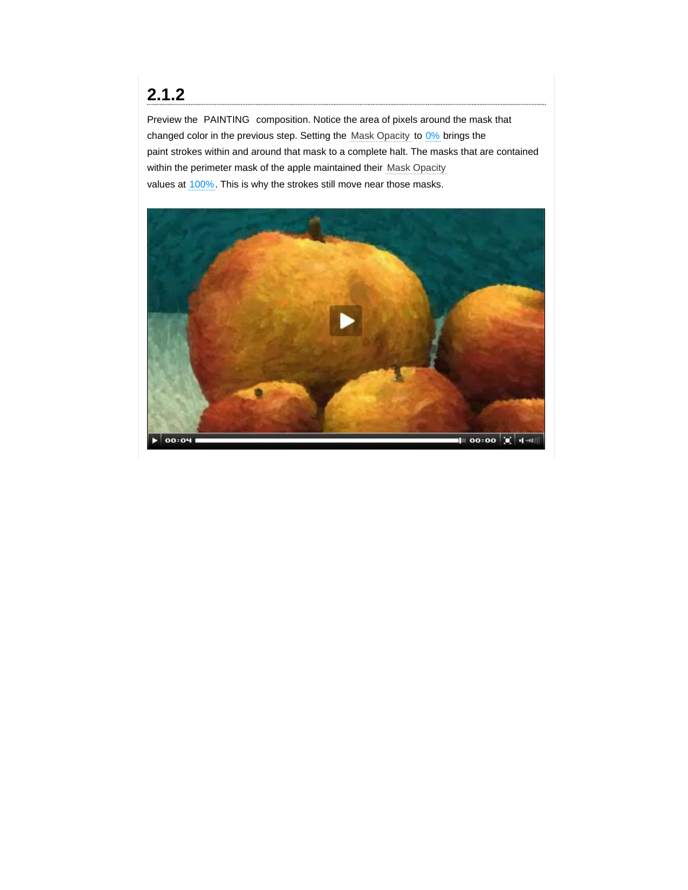Preview the PAINTING composition. Notice the area of pixels around the mask that changed color in the previous step. Setting the Mask Opacity to 0% brings the paint strokes within and around that mask to a complete halt. The masks that are contained within the perimeter mask of the apple maintained their Mask Opacity values at 100%. This is why the strokes still move near those masks.

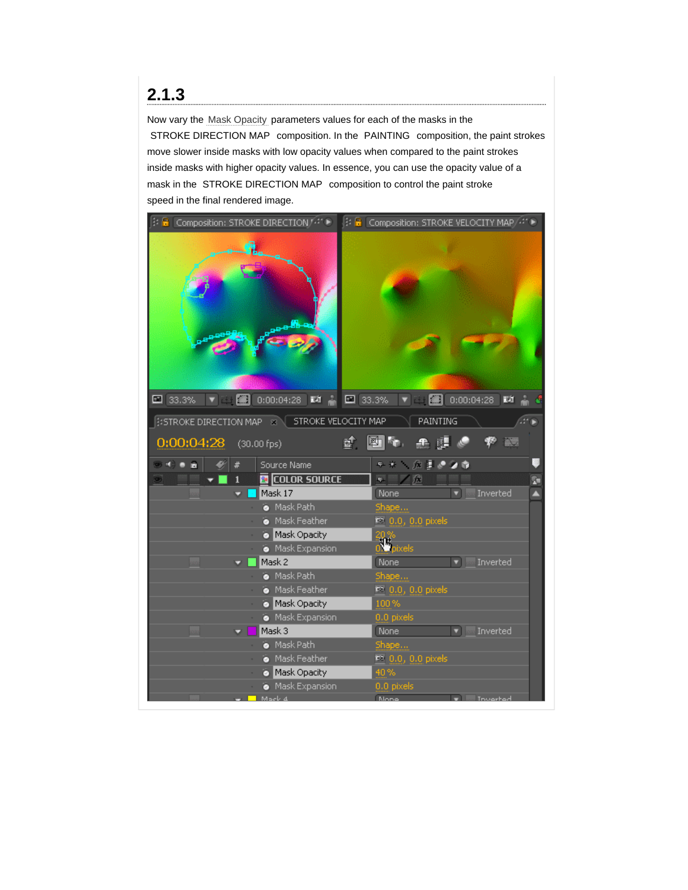Now vary the Mask Opacity parameters values for each of the masks in the STROKE DIRECTION MAP composition. In the PAINTING composition, the paint strokes move slower inside masks with low opacity values when compared to the paint strokes inside masks with higher opacity values. In essence, you can use the opacity value of a mask in the STROKE DIRECTION MAP composition to control the paint stroke speed in the final rendered image.

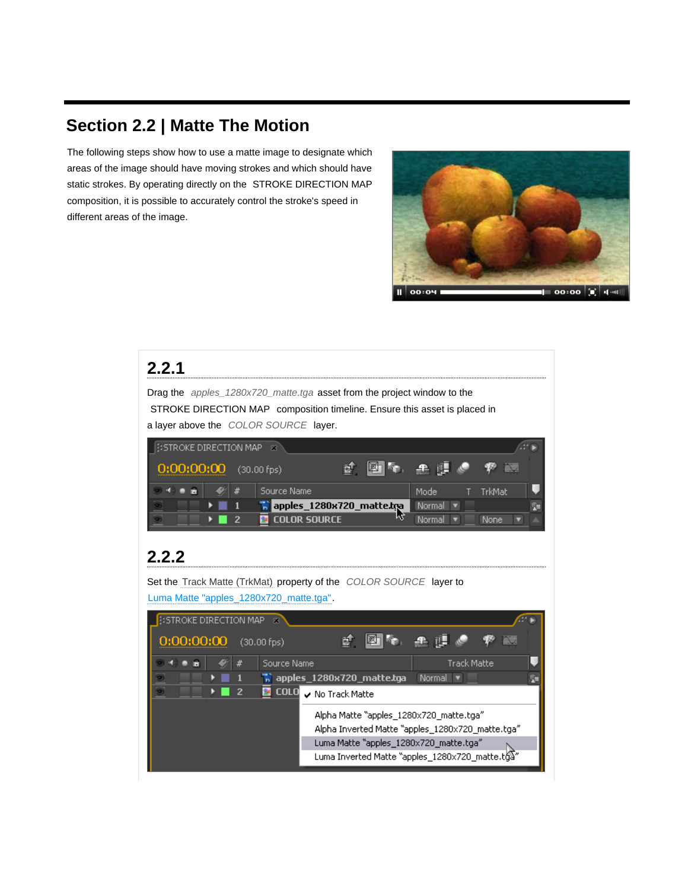## **Section 2.2 | Matte The Motion**

The following steps show how to use a matte image to designate which areas of the image should have moving strokes and which should have static strokes. By operating directly on the STROKE DIRECTION MAP composition, it is possible to accurately control the stroke's speed in different areas of the image.



#### **2.2.1** Drag the *apples\_1280x720\_matte.tga* asset from the project window to the STROKE DIRECTION MAP composition timeline. Ensure this asset is placed in a layer above the *COLOR SOURCE* layer. **ESTROKE DIRECTION MAP** 0:00:00:00  $(30.00$  fps) ď 阿卡 æ Source Name # Mode TrkMat O source wante<br><mark>1. apples\_1280x720\_matte.tma</mark><br>El col or source Normal v Þ -1 × **D** Color Source Normal v None  $\overline{2}$ **2.2.2**Set the Track Matte (TrkMat) property of the *COLOR SOURCE* layer to Luma Matte "apples\_1280x720\_matte.tga". **ESTROKE DIRECTION MAP** 滤. 图象 平眼的 0:00:00:00  $(30.00 fps)$ Source Name Track Matte  $\frac{1}{16}$  apples\_1280x720\_matte.tga Normal v  $\overline{2}$ COLO v No Track Matte Alpha Matte "apples\_1280x720\_matte.tga" Alpha Inverted Matte "apples\_1280x720\_matte.tga" Luma Matte "apples\_1280x720\_matte.tga" Luma Inverted Matte "apples\_1280x720\_matte.tg"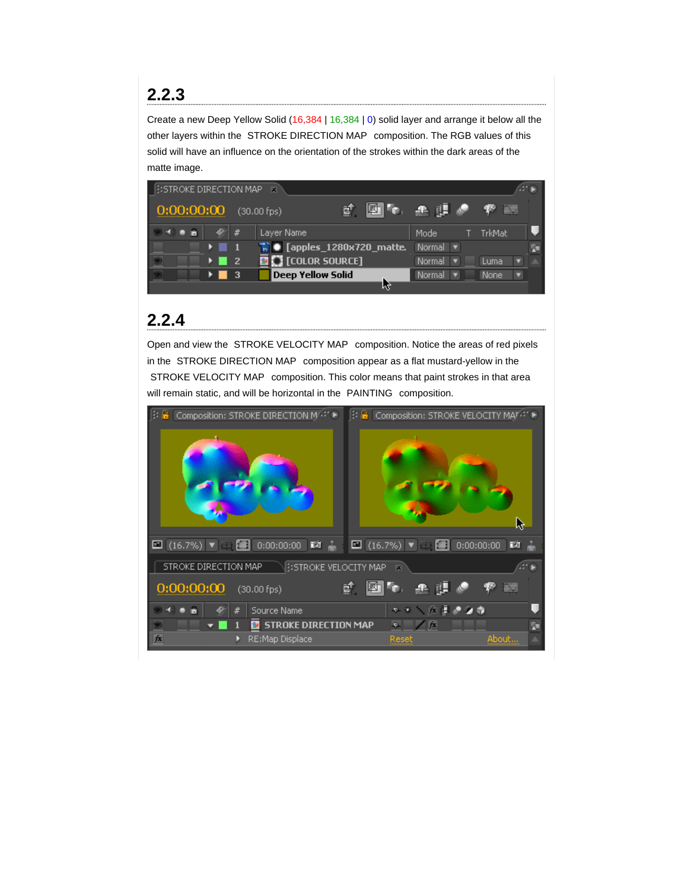## **2.2.3**

Create a new Deep Yellow Solid (16,384 | 16,384 | 0) solid layer and arrange it below all the other layers within the STROKE DIRECTION MAP composition. The RGB values of this solid will have an influence on the orientation of the strokes within the dark areas of the matte image.



## **2.2.4**

Open and view the STROKE VELOCITY MAP composition. Notice the areas of red pixels in the STROKE DIRECTION MAP composition appear as a flat mustard-yellow in the STROKE VELOCITY MAP composition. This color means that paint strokes in that area will remain static, and will be horizontal in the PAINTING composition.